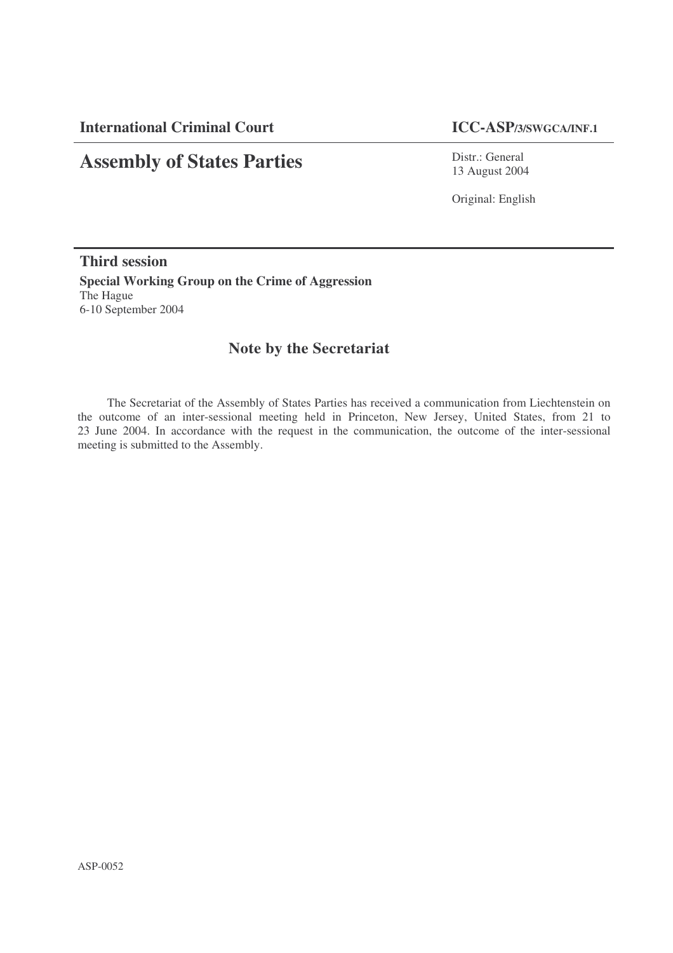**International Criminal Court ICC-ASP/3/SWGCA/INF.1**

# **Assembly of States Parties**

Distr · General 13 August 2004

Original: English

**Third session Special Working Group on the Crime of Aggression** The Hague 6-10 September 2004

## **Note by the Secretariat**

The Secretariat of the Assembly of States Parties has received a communication from Liechtenstein on the outcome of an inter-sessional meeting held in Princeton, New Jersey, United States, from 21 to 23 June 2004. In accordance with the request in the communication, the outcome of the inter-sessional meeting is submitted to the Assembly.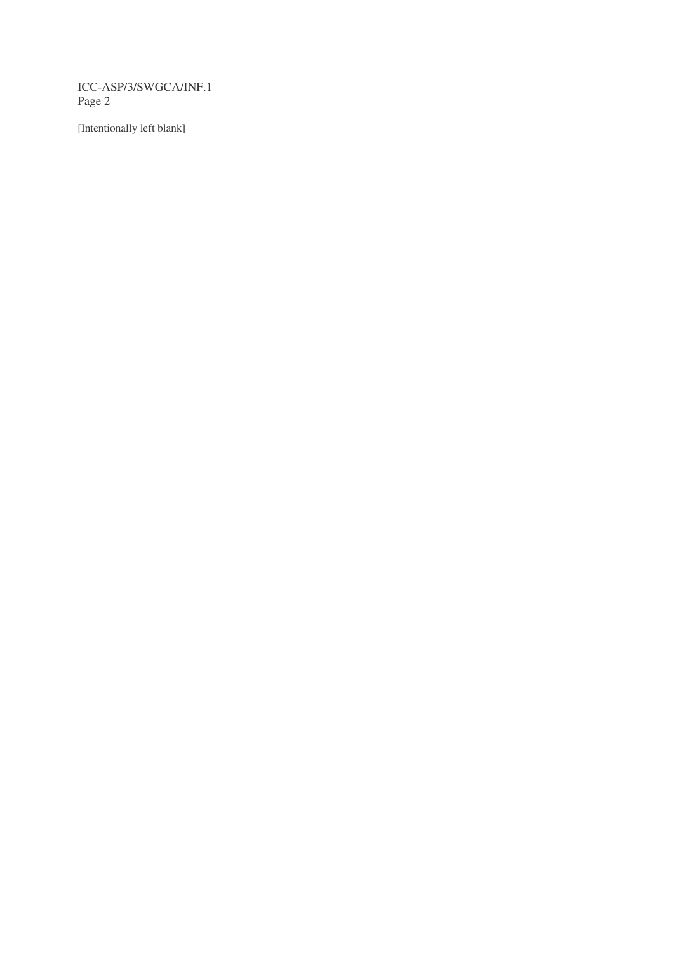[Intentionally left blank]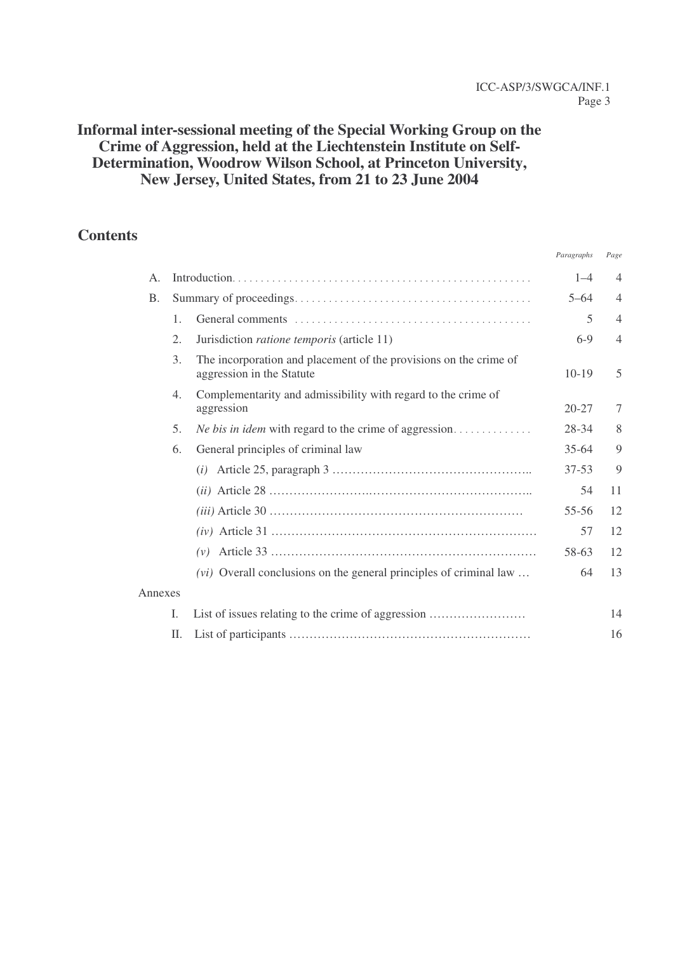## **Informal inter-sessional meeting of the Special Working Group on the Crime of Aggression, held at the Liechtenstein Institute on Self-Determination, Woodrow Wilson School, at Princeton University, New Jersey, United States, from 21 to 23 June 2004**

## **Contents**

|           |     |                                                                                                | Paragraphs | Page           |
|-----------|-----|------------------------------------------------------------------------------------------------|------------|----------------|
| А.        |     |                                                                                                | $1 - 4$    | $\overline{4}$ |
| <b>B.</b> |     |                                                                                                | $5 - 64$   | $\overline{4}$ |
|           | 1.  |                                                                                                | 5          | $\overline{4}$ |
|           | 2.  | Jurisdiction ratione temporis (article 11)                                                     | $6 - 9$    | $\overline{4}$ |
|           | 3.  | The incorporation and placement of the provisions on the crime of<br>aggression in the Statute | $10-19$    | 5              |
|           | 4.  | Complementarity and admissibility with regard to the crime of<br>aggression                    | $20 - 27$  | 7              |
|           | 5.  | <i>Ne bis in idem</i> with regard to the crime of aggression                                   | 28-34      | 8              |
|           | 6.  | General principles of criminal law                                                             | $35-64$    | 9              |
|           |     |                                                                                                | $37 - 53$  | 9              |
|           |     |                                                                                                | 54         | 11             |
|           |     |                                                                                                | 55-56      | 12             |
|           |     |                                                                                                | 57         | 12             |
|           |     | $(\nu)$                                                                                        | 58-63      | 12             |
|           |     | $(vi)$ Overall conclusions on the general principles of criminal law                           | 64         | 13             |
| Annexes   |     |                                                                                                |            |                |
|           | I.  | List of issues relating to the crime of aggression                                             |            | 14             |
|           | II. |                                                                                                |            | 16             |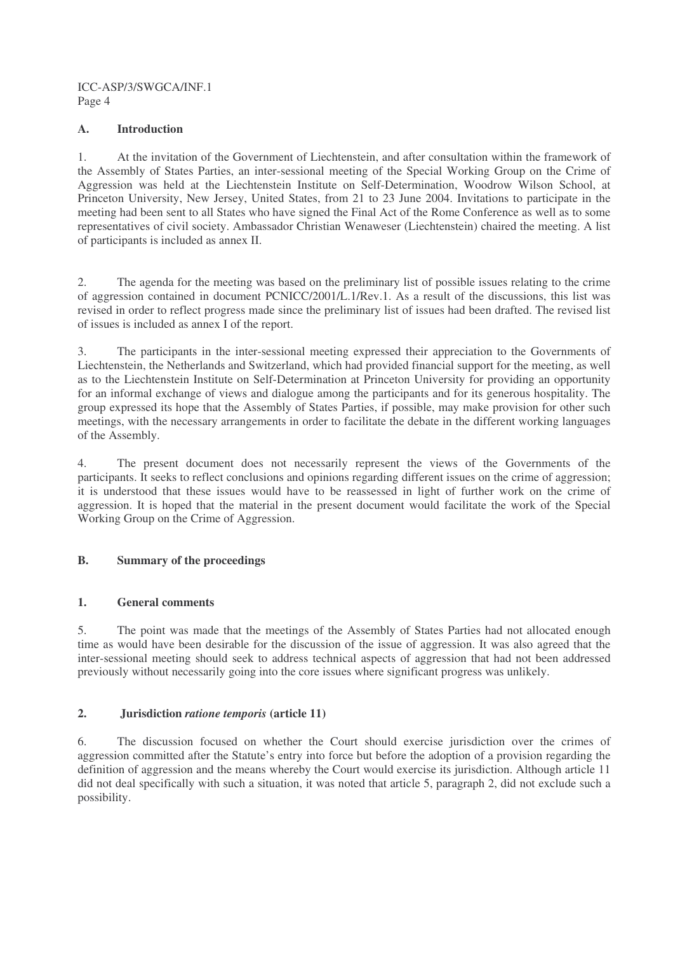## **A. Introduction**

1. At the invitation of the Government of Liechtenstein, and after consultation within the framework of the Assembly of States Parties, an inter-sessional meeting of the Special Working Group on the Crime of Aggression was held at the Liechtenstein Institute on Self-Determination, Woodrow Wilson School, at Princeton University, New Jersey, United States, from 21 to 23 June 2004. Invitations to participate in the meeting had been sent to all States who have signed the Final Act of the Rome Conference as well as to some representatives of civil society. Ambassador Christian Wenaweser (Liechtenstein) chaired the meeting. A list of participants is included as annex II.

2. The agenda for the meeting was based on the preliminary list of possible issues relating to the crime of aggression contained in document PCNICC/2001/L.1/Rev.1. As a result of the discussions, this list was revised in order to reflect progress made since the preliminary list of issues had been drafted. The revised list of issues is included as annex I of the report.

3. The participants in the inter-sessional meeting expressed their appreciation to the Governments of Liechtenstein, the Netherlands and Switzerland, which had provided financial support for the meeting, as well as to the Liechtenstein Institute on Self-Determination at Princeton University for providing an opportunity for an informal exchange of views and dialogue among the participants and for its generous hospitality. The group expressed its hope that the Assembly of States Parties, if possible, may make provision for other such meetings, with the necessary arrangements in order to facilitate the debate in the different working languages of the Assembly.

4. The present document does not necessarily represent the views of the Governments of the participants. It seeks to reflect conclusions and opinions regarding different issues on the crime of aggression; it is understood that these issues would have to be reassessed in light of further work on the crime of aggression. It is hoped that the material in the present document would facilitate the work of the Special Working Group on the Crime of Aggression.

## **B. Summary of the proceedings**

## **1. General comments**

5. The point was made that the meetings of the Assembly of States Parties had not allocated enough time as would have been desirable for the discussion of the issue of aggression. It was also agreed that the inter-sessional meeting should seek to address technical aspects of aggression that had not been addressed previously without necessarily going into the core issues where significant progress was unlikely.

## **2. Jurisdiction** *ratione temporis* **(article 11)**

6. The discussion focused on whether the Court should exercise jurisdiction over the crimes of aggression committed after the Statute's entry into force but before the adoption of a provision regarding the definition of aggression and the means whereby the Court would exercise its jurisdiction. Although article 11 did not deal specifically with such a situation, it was noted that article 5, paragraph 2, did not exclude such a possibility.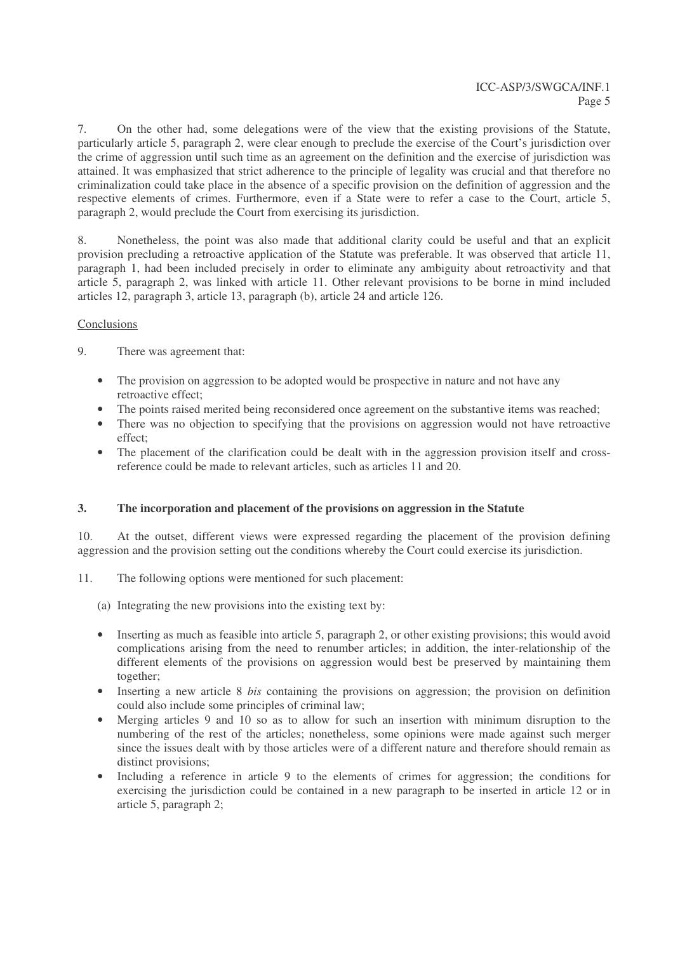7. On the other had, some delegations were of the view that the existing provisions of the Statute, particularly article 5, paragraph 2, were clear enough to preclude the exercise of the Court's jurisdiction over the crime of aggression until such time as an agreement on the definition and the exercise of jurisdiction was attained. It was emphasized that strict adherence to the principle of legality was crucial and that therefore no criminalization could take place in the absence of a specific provision on the definition of aggression and the respective elements of crimes. Furthermore, even if a State were to refer a case to the Court, article 5, paragraph 2, would preclude the Court from exercising its jurisdiction.

8. Nonetheless, the point was also made that additional clarity could be useful and that an explicit provision precluding a retroactive application of the Statute was preferable. It was observed that article 11, paragraph 1, had been included precisely in order to eliminate any ambiguity about retroactivity and that article 5, paragraph 2, was linked with article 11. Other relevant provisions to be borne in mind included articles 12, paragraph 3, article 13, paragraph (b), article 24 and article 126.

## Conclusions

- 9. There was agreement that:
	- The provision on aggression to be adopted would be prospective in nature and not have any retroactive effect;
	- The points raised merited being reconsidered once agreement on the substantive items was reached;
	- There was no objection to specifying that the provisions on aggression would not have retroactive effect;
	- The placement of the clarification could be dealt with in the aggression provision itself and crossreference could be made to relevant articles, such as articles 11 and 20.

## **3. The incorporation and placement of the provisions on aggression in the Statute**

10. At the outset, different views were expressed regarding the placement of the provision defining aggression and the provision setting out the conditions whereby the Court could exercise its jurisdiction.

- 11. The following options were mentioned for such placement:
	- (a) Integrating the new provisions into the existing text by:
	- Inserting as much as feasible into article 5, paragraph 2, or other existing provisions; this would avoid complications arising from the need to renumber articles; in addition, the inter-relationship of the different elements of the provisions on aggression would best be preserved by maintaining them together;
	- Inserting a new article 8 *bis* containing the provisions on aggression; the provision on definition could also include some principles of criminal law;
	- Merging articles 9 and 10 so as to allow for such an insertion with minimum disruption to the numbering of the rest of the articles; nonetheless, some opinions were made against such merger since the issues dealt with by those articles were of a different nature and therefore should remain as distinct provisions;
	- Including a reference in article 9 to the elements of crimes for aggression; the conditions for exercising the jurisdiction could be contained in a new paragraph to be inserted in article 12 or in article 5, paragraph 2;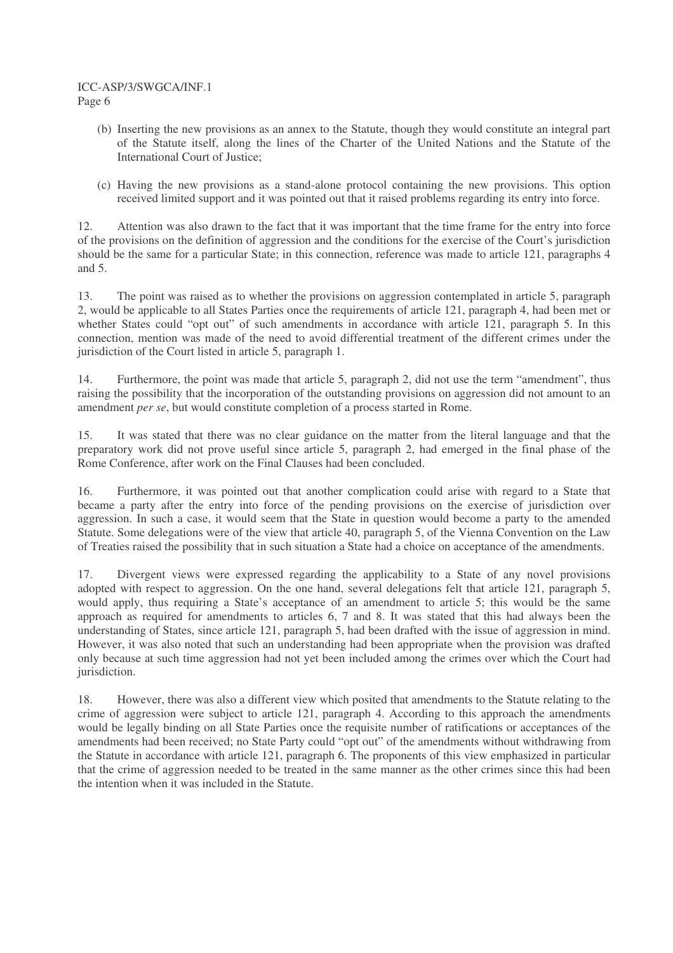- (b) Inserting the new provisions as an annex to the Statute, though they would constitute an integral part of the Statute itself, along the lines of the Charter of the United Nations and the Statute of the International Court of Justice;
- (c) Having the new provisions as a stand-alone protocol containing the new provisions. This option received limited support and it was pointed out that it raised problems regarding its entry into force.

12. Attention was also drawn to the fact that it was important that the time frame for the entry into force of the provisions on the definition of aggression and the conditions for the exercise of the Court's jurisdiction should be the same for a particular State; in this connection, reference was made to article 121, paragraphs 4 and 5.

13. The point was raised as to whether the provisions on aggression contemplated in article 5, paragraph 2, would be applicable to all States Parties once the requirements of article 121, paragraph 4, had been met or whether States could "opt out" of such amendments in accordance with article 121, paragraph 5. In this connection, mention was made of the need to avoid differential treatment of the different crimes under the jurisdiction of the Court listed in article 5, paragraph 1.

14. Furthermore, the point was made that article 5, paragraph 2, did not use the term "amendment", thus raising the possibility that the incorporation of the outstanding provisions on aggression did not amount to an amendment *per se*, but would constitute completion of a process started in Rome.

15. It was stated that there was no clear guidance on the matter from the literal language and that the preparatory work did not prove useful since article 5, paragraph 2, had emerged in the final phase of the Rome Conference, after work on the Final Clauses had been concluded.

16. Furthermore, it was pointed out that another complication could arise with regard to a State that became a party after the entry into force of the pending provisions on the exercise of jurisdiction over aggression. In such a case, it would seem that the State in question would become a party to the amended Statute. Some delegations were of the view that article 40, paragraph 5, of the Vienna Convention on the Law of Treaties raised the possibility that in such situation a State had a choice on acceptance of the amendments.

17. Divergent views were expressed regarding the applicability to a State of any novel provisions adopted with respect to aggression. On the one hand, several delegations felt that article 121, paragraph 5, would apply, thus requiring a State's acceptance of an amendment to article 5; this would be the same approach as required for amendments to articles 6, 7 and 8. It was stated that this had always been the understanding of States, since article 121, paragraph 5, had been drafted with the issue of aggression in mind. However, it was also noted that such an understanding had been appropriate when the provision was drafted only because at such time aggression had not yet been included among the crimes over which the Court had jurisdiction.

18. However, there was also a different view which posited that amendments to the Statute relating to the crime of aggression were subject to article 121, paragraph 4. According to this approach the amendments would be legally binding on all State Parties once the requisite number of ratifications or acceptances of the amendments had been received; no State Party could "opt out" of the amendments without withdrawing from the Statute in accordance with article 121, paragraph 6. The proponents of this view emphasized in particular that the crime of aggression needed to be treated in the same manner as the other crimes since this had been the intention when it was included in the Statute.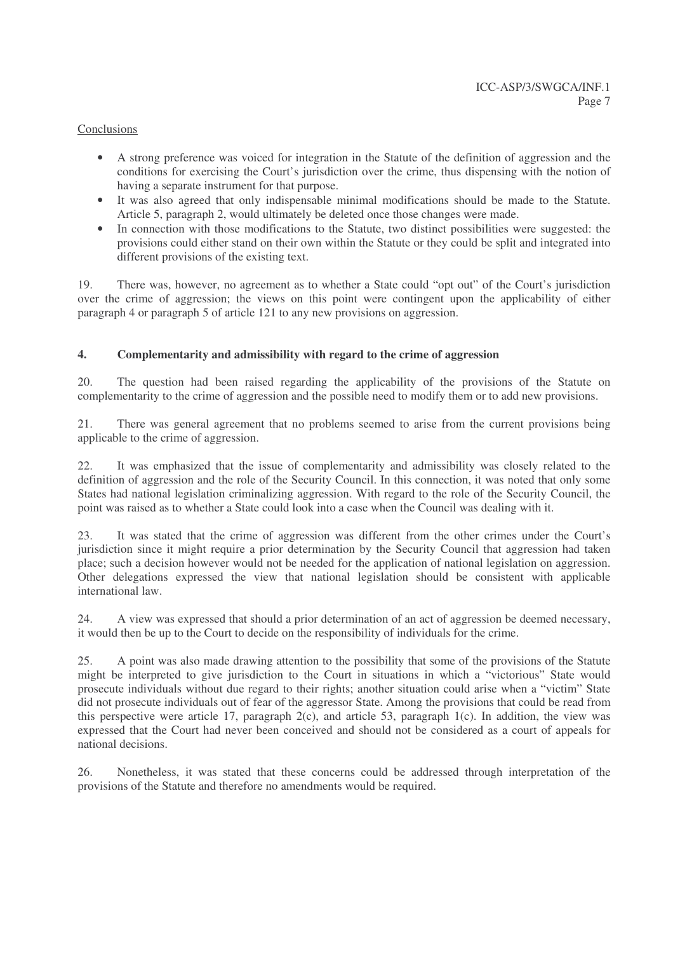#### **Conclusions**

- A strong preference was voiced for integration in the Statute of the definition of aggression and the conditions for exercising the Court's jurisdiction over the crime, thus dispensing with the notion of having a separate instrument for that purpose.
- It was also agreed that only indispensable minimal modifications should be made to the Statute. Article 5, paragraph 2, would ultimately be deleted once those changes were made.
- In connection with those modifications to the Statute, two distinct possibilities were suggested: the provisions could either stand on their own within the Statute or they could be split and integrated into different provisions of the existing text.

19. There was, however, no agreement as to whether a State could "opt out" of the Court's jurisdiction over the crime of aggression; the views on this point were contingent upon the applicability of either paragraph 4 or paragraph 5 of article 121 to any new provisions on aggression.

## **4. Complementarity and admissibility with regard to the crime of aggression**

20. The question had been raised regarding the applicability of the provisions of the Statute on complementarity to the crime of aggression and the possible need to modify them or to add new provisions.

21. There was general agreement that no problems seemed to arise from the current provisions being applicable to the crime of aggression.

22. It was emphasized that the issue of complementarity and admissibility was closely related to the definition of aggression and the role of the Security Council. In this connection, it was noted that only some States had national legislation criminalizing aggression. With regard to the role of the Security Council, the point was raised as to whether a State could look into a case when the Council was dealing with it.

23. It was stated that the crime of aggression was different from the other crimes under the Court's jurisdiction since it might require a prior determination by the Security Council that aggression had taken place; such a decision however would not be needed for the application of national legislation on aggression. Other delegations expressed the view that national legislation should be consistent with applicable international law.

24. A view was expressed that should a prior determination of an act of aggression be deemed necessary, it would then be up to the Court to decide on the responsibility of individuals for the crime.

25. A point was also made drawing attention to the possibility that some of the provisions of the Statute might be interpreted to give jurisdiction to the Court in situations in which a "victorious" State would prosecute individuals without due regard to their rights; another situation could arise when a "victim" State did not prosecute individuals out of fear of the aggressor State. Among the provisions that could be read from this perspective were article 17, paragraph  $2(c)$ , and article 53, paragraph 1(c). In addition, the view was expressed that the Court had never been conceived and should not be considered as a court of appeals for national decisions.

26. Nonetheless, it was stated that these concerns could be addressed through interpretation of the provisions of the Statute and therefore no amendments would be required.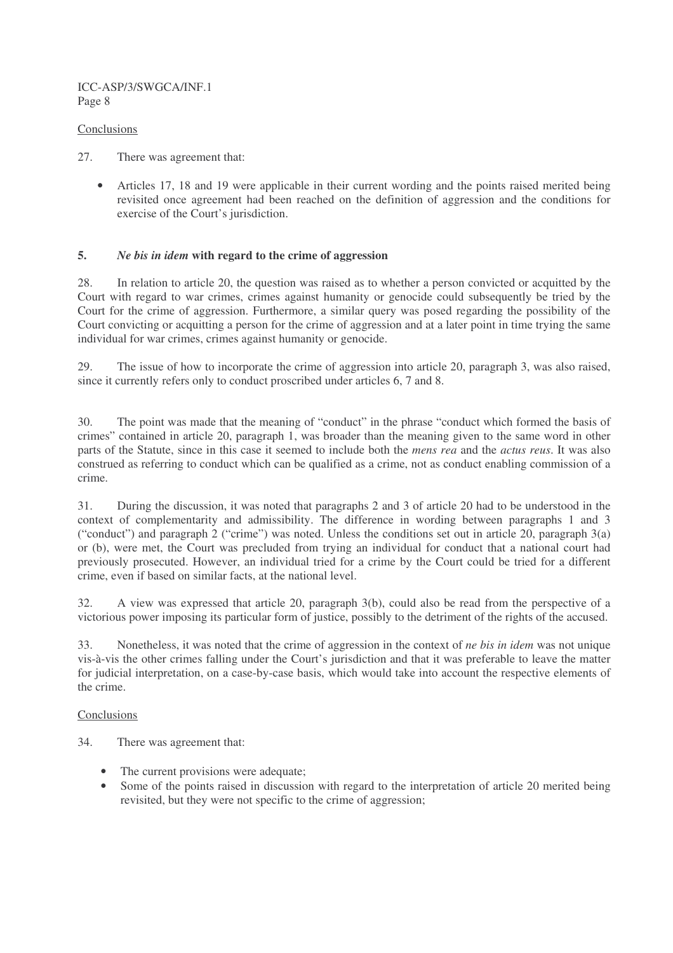## **Conclusions**

27. There was agreement that:

• Articles 17, 18 and 19 were applicable in their current wording and the points raised merited being revisited once agreement had been reached on the definition of aggression and the conditions for exercise of the Court's jurisdiction.

## **5.** *Ne bis in idem* **with regard to the crime of aggression**

28. In relation to article 20, the question was raised as to whether a person convicted or acquitted by the Court with regard to war crimes, crimes against humanity or genocide could subsequently be tried by the Court for the crime of aggression. Furthermore, a similar query was posed regarding the possibility of the Court convicting or acquitting a person for the crime of aggression and at a later point in time trying the same individual for war crimes, crimes against humanity or genocide.

29. The issue of how to incorporate the crime of aggression into article 20, paragraph 3, was also raised, since it currently refers only to conduct proscribed under articles 6, 7 and 8.

30. The point was made that the meaning of "conduct" in the phrase "conduct which formed the basis of crimes" contained in article 20, paragraph 1, was broader than the meaning given to the same word in other parts of the Statute, since in this case it seemed to include both the *mens rea* and the *actus reus*. It was also construed as referring to conduct which can be qualified as a crime, not as conduct enabling commission of a crime.

31. During the discussion, it was noted that paragraphs 2 and 3 of article 20 had to be understood in the context of complementarity and admissibility. The difference in wording between paragraphs 1 and 3 ("conduct") and paragraph 2 ("crime") was noted. Unless the conditions set out in article 20, paragraph 3(a) or (b), were met, the Court was precluded from trying an individual for conduct that a national court had previously prosecuted. However, an individual tried for a crime by the Court could be tried for a different crime, even if based on similar facts, at the national level.

32. A view was expressed that article 20, paragraph 3(b), could also be read from the perspective of a victorious power imposing its particular form of justice, possibly to the detriment of the rights of the accused.

33. Nonetheless, it was noted that the crime of aggression in the context of *ne bis in idem* was not unique vis-à-vis the other crimes falling under the Court's jurisdiction and that it was preferable to leave the matter for judicial interpretation, on a case-by-case basis, which would take into account the respective elements of the crime.

## Conclusions

- 34. There was agreement that:
	- The current provisions were adequate;
	- Some of the points raised in discussion with regard to the interpretation of article 20 merited being revisited, but they were not specific to the crime of aggression;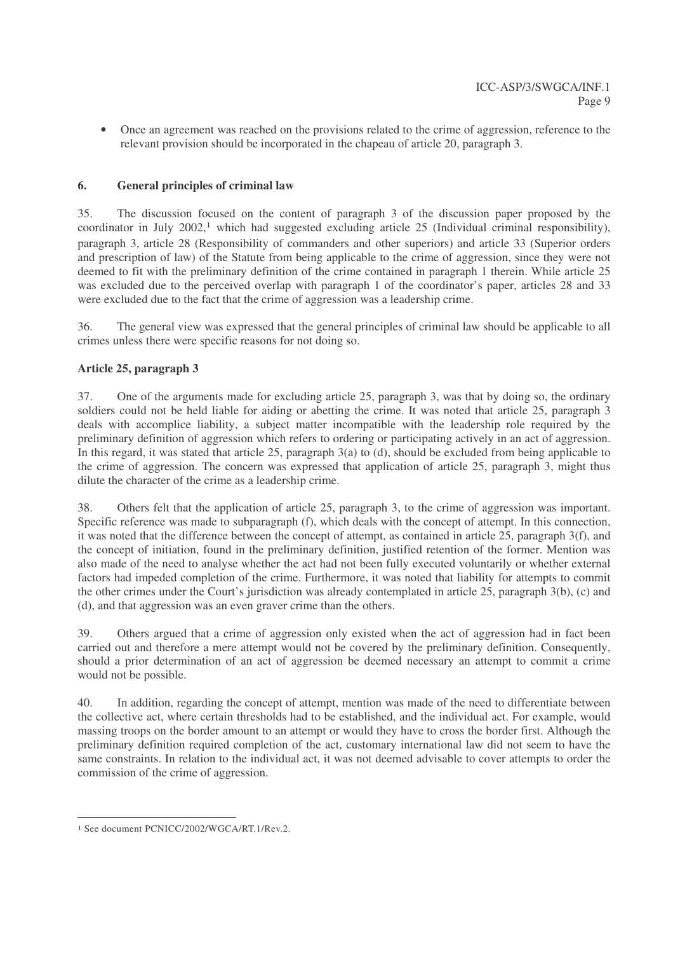• Once an agreement was reached on the provisions related to the crime of aggression, reference to the relevant provision should be incorporated in the chapeau of article 20, paragraph 3.

## **6. General principles of criminal law**

35. The discussion focused on the content of paragraph 3 of the discussion paper proposed by the coordinator in July 2002, 1 which had suggested excluding article 25 (Individual criminal responsibility), paragraph 3, article 28 (Responsibility of commanders and other superiors) and article 33 (Superior orders and prescription of law) of the Statute from being applicable to the crime of aggression, since they were not deemed to fit with the preliminary definition of the crime contained in paragraph 1 therein. While article 25 was excluded due to the perceived overlap with paragraph 1 of the coordinator's paper, articles 28 and 33 were excluded due to the fact that the crime of aggression was a leadership crime.

36. The general view was expressed that the general principles of criminal law should be applicable to all crimes unless there were specific reasons for not doing so.

## **Article 25, paragraph 3**

37. One of the arguments made for excluding article 25, paragraph 3, was that by doing so, the ordinary soldiers could not be held liable for aiding or abetting the crime. It was noted that article 25, paragraph 3 deals with accomplice liability, a subject matter incompatible with the leadership role required by the preliminary definition of aggression which refers to ordering or participating actively in an act of aggression. In this regard, it was stated that article 25, paragraph 3(a) to (d), should be excluded from being applicable to the crime of aggression. The concern was expressed that application of article 25, paragraph 3, might thus dilute the character of the crime as a leadership crime.

38. Others felt that the application of article 25, paragraph 3, to the crime of aggression was important. Specific reference was made to subparagraph (f), which deals with the concept of attempt. In this connection, it was noted that the difference between the concept of attempt, as contained in article 25, paragraph 3(f), and the concept of initiation, found in the preliminary definition, justified retention of the former. Mention was also made of the need to analyse whether the act had not been fully executed voluntarily or whether external factors had impeded completion of the crime. Furthermore, it was noted that liability for attempts to commit the other crimes under the Court's jurisdiction was already contemplated in article 25, paragraph 3(b), (c) and (d), and that aggression was an even graver crime than the others.

39. Others argued that a crime of aggression only existed when the act of aggression had in fact been carried out and therefore a mere attempt would not be covered by the preliminary definition. Consequently, should a prior determination of an act of aggression be deemed necessary an attempt to commit a crime would not be possible.

40. In addition, regarding the concept of attempt, mention was made of the need to differentiate between the collective act, where certain thresholds had to be established, and the individual act. For example, would massing troops on the border amount to an attempt or would they have to cross the border first. Although the preliminary definition required completion of the act, customary international law did not seem to have the same constraints. In relation to the individual act, it was not deemed advisable to cover attempts to order the commission of the crime of aggression.

<sup>1</sup> See document PCNICC/2002/WGCA/RT.1/Rev.2.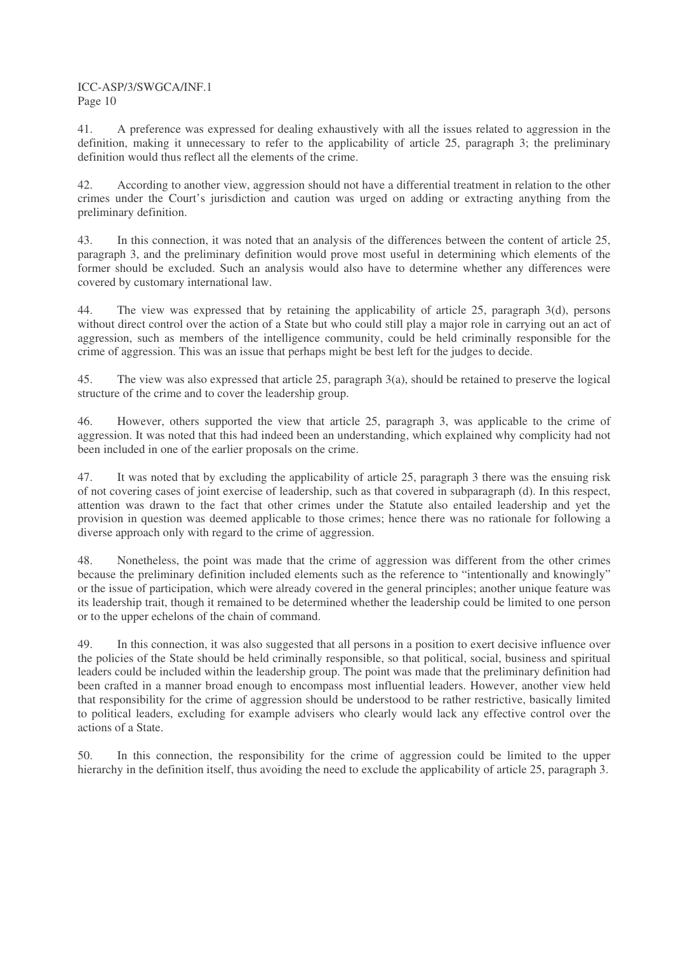41. A preference was expressed for dealing exhaustively with all the issues related to aggression in the definition, making it unnecessary to refer to the applicability of article 25, paragraph 3; the preliminary definition would thus reflect all the elements of the crime.

42. According to another view, aggression should not have a differential treatment in relation to the other crimes under the Court's jurisdiction and caution was urged on adding or extracting anything from the preliminary definition.

43. In this connection, it was noted that an analysis of the differences between the content of article 25, paragraph 3, and the preliminary definition would prove most useful in determining which elements of the former should be excluded. Such an analysis would also have to determine whether any differences were covered by customary international law.

44. The view was expressed that by retaining the applicability of article 25, paragraph 3(d), persons without direct control over the action of a State but who could still play a major role in carrying out an act of aggression, such as members of the intelligence community, could be held criminally responsible for the crime of aggression. This was an issue that perhaps might be best left for the judges to decide.

45. The view was also expressed that article 25, paragraph 3(a), should be retained to preserve the logical structure of the crime and to cover the leadership group.

46. However, others supported the view that article 25, paragraph 3, was applicable to the crime of aggression. It was noted that this had indeed been an understanding, which explained why complicity had not been included in one of the earlier proposals on the crime.

47. It was noted that by excluding the applicability of article 25, paragraph 3 there was the ensuing risk of not covering cases of joint exercise of leadership, such as that covered in subparagraph (d). In this respect, attention was drawn to the fact that other crimes under the Statute also entailed leadership and yet the provision in question was deemed applicable to those crimes; hence there was no rationale for following a diverse approach only with regard to the crime of aggression.

48. Nonetheless, the point was made that the crime of aggression was different from the other crimes because the preliminary definition included elements such as the reference to "intentionally and knowingly" or the issue of participation, which were already covered in the general principles; another unique feature was its leadership trait, though it remained to be determined whether the leadership could be limited to one person or to the upper echelons of the chain of command.

49. In this connection, it was also suggested that all persons in a position to exert decisive influence over the policies of the State should be held criminally responsible, so that political, social, business and spiritual leaders could be included within the leadership group. The point was made that the preliminary definition had been crafted in a manner broad enough to encompass most influential leaders. However, another view held that responsibility for the crime of aggression should be understood to be rather restrictive, basically limited to political leaders, excluding for example advisers who clearly would lack any effective control over the actions of a State.

50. In this connection, the responsibility for the crime of aggression could be limited to the upper hierarchy in the definition itself, thus avoiding the need to exclude the applicability of article 25, paragraph 3.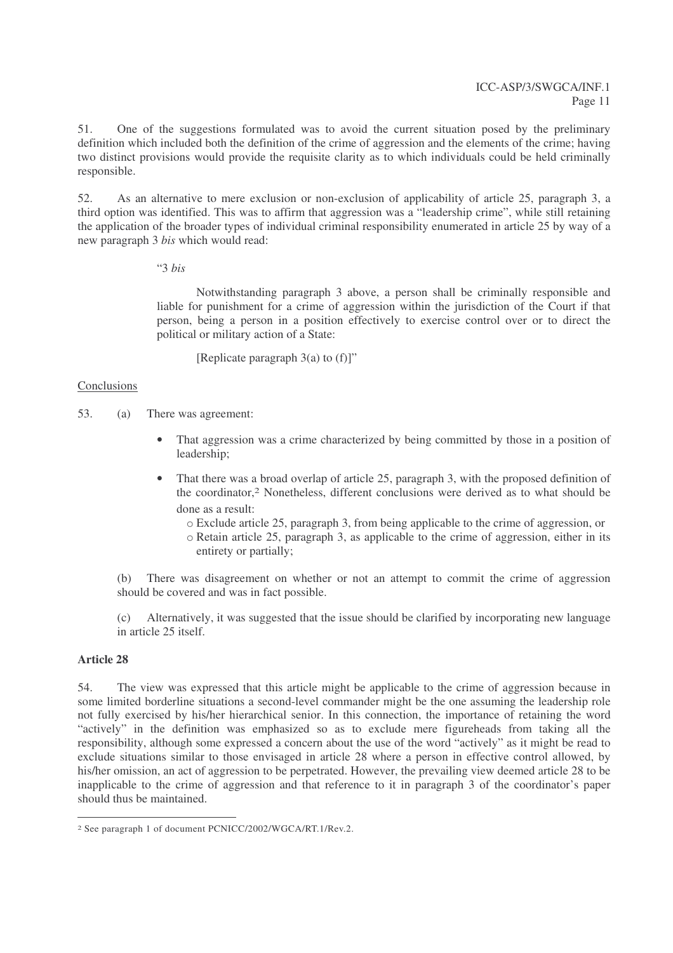51. One of the suggestions formulated was to avoid the current situation posed by the preliminary definition which included both the definition of the crime of aggression and the elements of the crime; having two distinct provisions would provide the requisite clarity as to which individuals could be held criminally responsible.

52. As an alternative to mere exclusion or non-exclusion of applicability of article 25, paragraph 3, a third option was identified. This was to affirm that aggression was a "leadership crime", while still retaining the application of the broader types of individual criminal responsibility enumerated in article 25 by way of a new paragraph 3 *bis* which would read:

"3 *bis*

Notwithstanding paragraph 3 above, a person shall be criminally responsible and liable for punishment for a crime of aggression within the jurisdiction of the Court if that person, being a person in a position effectively to exercise control over or to direct the political or military action of a State:

[Replicate paragraph  $3(a)$  to  $(f)$ ]"

## Conclusions

- 53. (a) There was agreement:
	- That aggression was a crime characterized by being committed by those in a position of leadership;
	- That there was a broad overlap of article 25, paragraph 3, with the proposed definition of the coordinator, 2 Nonetheless, different conclusions were derived as to what should be done as a result:
		- o Exclude article 25, paragraph 3, from being applicable to the crime of aggression, or
		- o Retain article 25, paragraph 3, as applicable to the crime of aggression, either in its entirety or partially;

(b) There was disagreement on whether or not an attempt to commit the crime of aggression should be covered and was in fact possible.

(c) Alternatively, it was suggested that the issue should be clarified by incorporating new language in article 25 itself.

## **Article 28**

54. The view was expressed that this article might be applicable to the crime of aggression because in some limited borderline situations a second-level commander might be the one assuming the leadership role not fully exercised by his/her hierarchical senior. In this connection, the importance of retaining the word "actively" in the definition was emphasized so as to exclude mere figureheads from taking all the responsibility, although some expressed a concern about the use of the word "actively" as it might be read to exclude situations similar to those envisaged in article 28 where a person in effective control allowed, by his/her omission, an act of aggression to be perpetrated. However, the prevailing view deemed article 28 to be inapplicable to the crime of aggression and that reference to it in paragraph 3 of the coordinator's paper should thus be maintained.

<sup>2</sup> See paragraph 1 of document PCNICC/2002/WGCA/RT.1/Rev.2.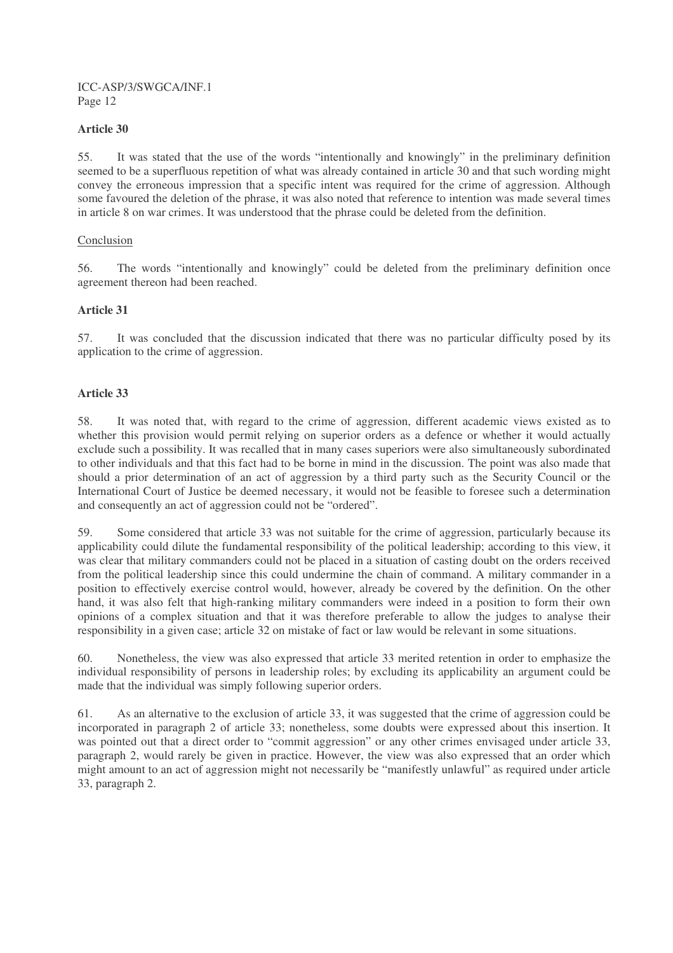#### **Article 30**

55. It was stated that the use of the words "intentionally and knowingly" in the preliminary definition seemed to be a superfluous repetition of what was already contained in article 30 and that such wording might convey the erroneous impression that a specific intent was required for the crime of aggression. Although some favoured the deletion of the phrase, it was also noted that reference to intention was made several times in article 8 on war crimes. It was understood that the phrase could be deleted from the definition.

#### Conclusion

56. The words "intentionally and knowingly" could be deleted from the preliminary definition once agreement thereon had been reached.

#### **Article 31**

57. It was concluded that the discussion indicated that there was no particular difficulty posed by its application to the crime of aggression.

#### **Article 33**

58. It was noted that, with regard to the crime of aggression, different academic views existed as to whether this provision would permit relying on superior orders as a defence or whether it would actually exclude such a possibility. It was recalled that in many cases superiors were also simultaneously subordinated to other individuals and that this fact had to be borne in mind in the discussion. The point was also made that should a prior determination of an act of aggression by a third party such as the Security Council or the International Court of Justice be deemed necessary, it would not be feasible to foresee such a determination and consequently an act of aggression could not be "ordered".

59. Some considered that article 33 was not suitable for the crime of aggression, particularly because its applicability could dilute the fundamental responsibility of the political leadership; according to this view, it was clear that military commanders could not be placed in a situation of casting doubt on the orders received from the political leadership since this could undermine the chain of command. A military commander in a position to effectively exercise control would, however, already be covered by the definition. On the other hand, it was also felt that high-ranking military commanders were indeed in a position to form their own opinions of a complex situation and that it was therefore preferable to allow the judges to analyse their responsibility in a given case; article 32 on mistake of fact or law would be relevant in some situations.

60. Nonetheless, the view was also expressed that article 33 merited retention in order to emphasize the individual responsibility of persons in leadership roles; by excluding its applicability an argument could be made that the individual was simply following superior orders.

61. As an alternative to the exclusion of article 33, it was suggested that the crime of aggression could be incorporated in paragraph 2 of article 33; nonetheless, some doubts were expressed about this insertion. It was pointed out that a direct order to "commit aggression" or any other crimes envisaged under article 33, paragraph 2, would rarely be given in practice. However, the view was also expressed that an order which might amount to an act of aggression might not necessarily be "manifestly unlawful" as required under article 33, paragraph 2.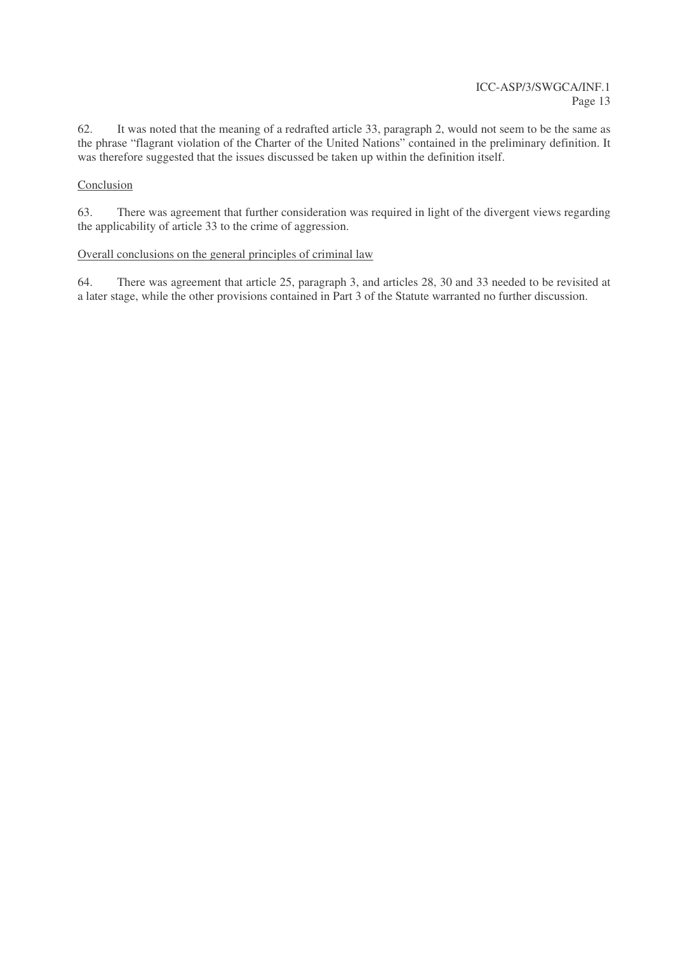62. It was noted that the meaning of a redrafted article 33, paragraph 2, would not seem to be the same as the phrase "flagrant violation of the Charter of the United Nations" contained in the preliminary definition. It was therefore suggested that the issues discussed be taken up within the definition itself.

## Conclusion

63. There was agreement that further consideration was required in light of the divergent views regarding the applicability of article 33 to the crime of aggression.

## Overall conclusions on the general principles of criminal law

64. There was agreement that article 25, paragraph 3, and articles 28, 30 and 33 needed to be revisited at a later stage, while the other provisions contained in Part 3 of the Statute warranted no further discussion.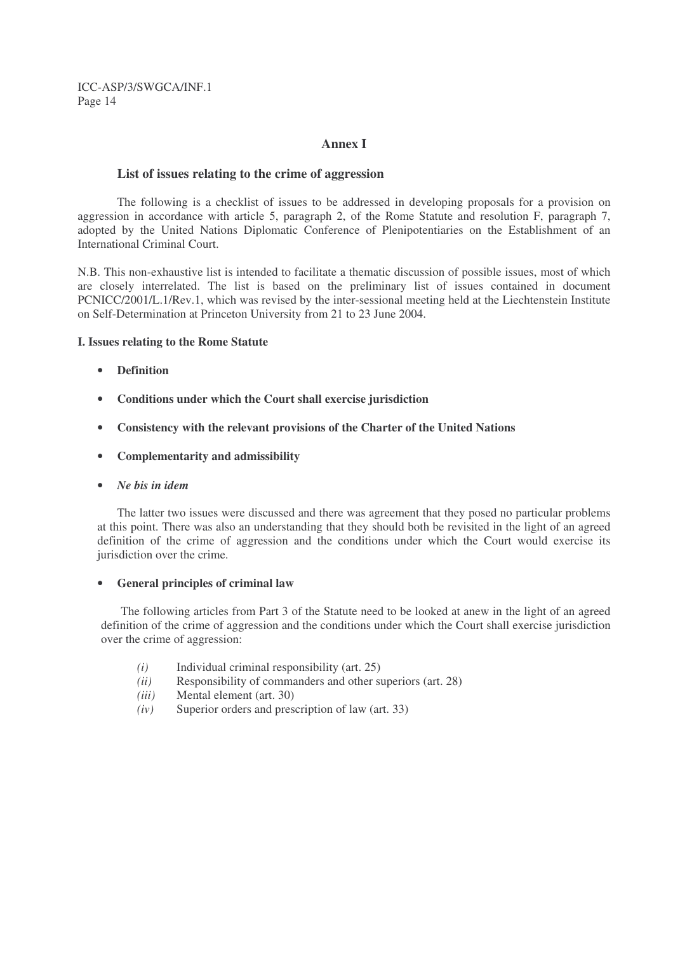### **Annex I**

#### **List of issues relating to the crime of aggression**

The following is a checklist of issues to be addressed in developing proposals for a provision on aggression in accordance with article 5, paragraph 2, of the Rome Statute and resolution F, paragraph 7, adopted by the United Nations Diplomatic Conference of Plenipotentiaries on the Establishment of an International Criminal Court.

N.B. This non-exhaustive list is intended to facilitate a thematic discussion of possible issues, most of which are closely interrelated. The list is based on the preliminary list of issues contained in document PCNICC/2001/L.1/Rev.1, which was revised by the inter-sessional meeting held at the Liechtenstein Institute on Self-Determination at Princeton University from 21 to 23 June 2004.

#### **I. Issues relating to the Rome Statute**

- **Definition**
- **Conditions under which the Court shall exercise jurisdiction**
- **Consistency with the relevant provisions of the Charter of the United Nations**
- **Complementarity and admissibility**
- *Ne bis in idem*

The latter two issues were discussed and there was agreement that they posed no particular problems at this point. There was also an understanding that they should both be revisited in the light of an agreed definition of the crime of aggression and the conditions under which the Court would exercise its jurisdiction over the crime.

#### • **General principles of criminal law**

The following articles from Part 3 of the Statute need to be looked at anew in the light of an agreed definition of the crime of aggression and the conditions under which the Court shall exercise jurisdiction over the crime of aggression:

- *(i)* Individual criminal responsibility (art. 25)
- *(ii)* Responsibility of commanders and other superiors (art. 28)
- *(iii)* Mental element (art. 30)
- *(iv)* Superior orders and prescription of law (art. 33)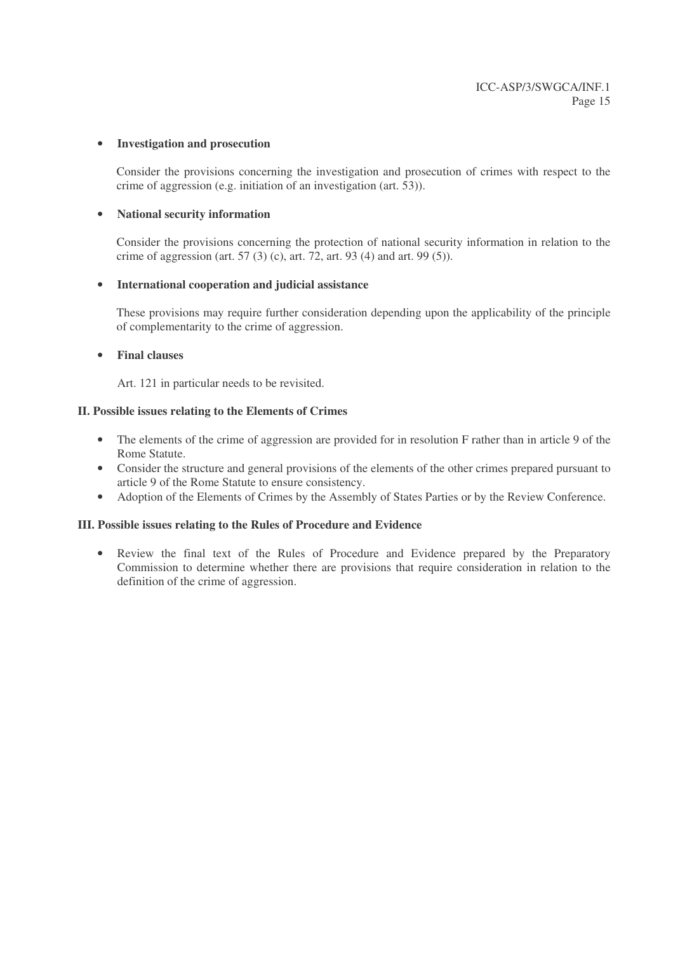#### • **Investigation and prosecution**

Consider the provisions concerning the investigation and prosecution of crimes with respect to the crime of aggression (e.g. initiation of an investigation (art.  $\overline{53}$ )).

### • **National security information**

Consider the provisions concerning the protection of national security information in relation to the crime of aggression (art. 57 (3) (c), art. 72, art. 93 (4) and art. 99 (5)).

### • **International cooperation and judicial assistance**

These provisions may require further consideration depending upon the applicability of the principle of complementarity to the crime of aggression.

#### • **Final clauses**

Art. 121 in particular needs to be revisited.

#### **II. Possible issues relating to the Elements of Crimes**

- The elements of the crime of aggression are provided for in resolution F rather than in article 9 of the Rome Statute.
- Consider the structure and general provisions of the elements of the other crimes prepared pursuant to article 9 of the Rome Statute to ensure consistency.
- Adoption of the Elements of Crimes by the Assembly of States Parties or by the Review Conference.

## **III. Possible issues relating to the Rules of Procedure and Evidence**

• Review the final text of the Rules of Procedure and Evidence prepared by the Preparatory Commission to determine whether there are provisions that require consideration in relation to the definition of the crime of aggression.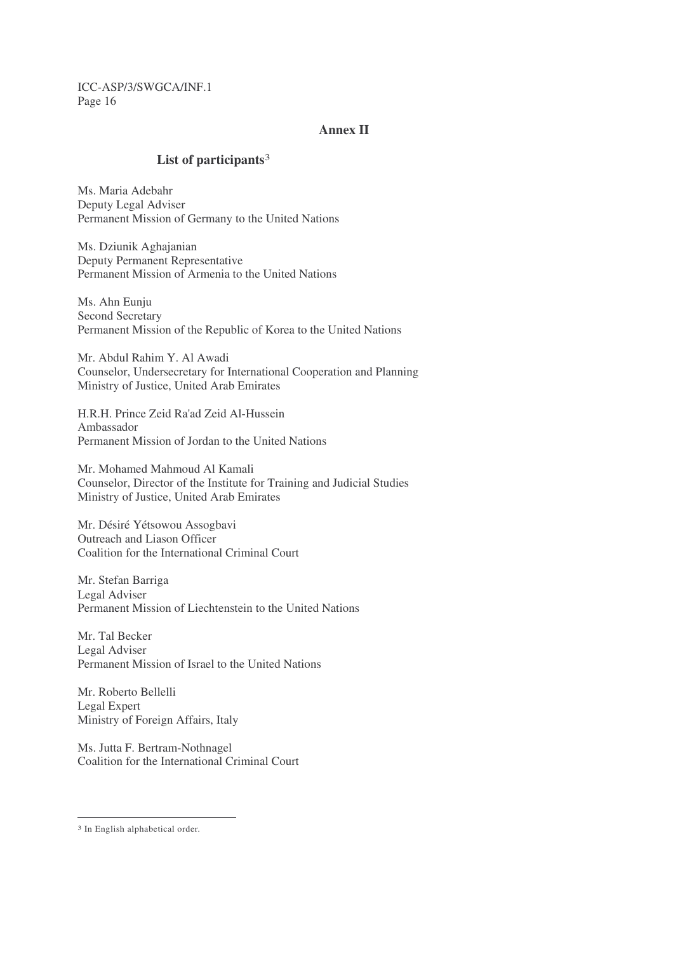## **Annex II**

## **List of participants** 3

Ms. Maria Adebahr Deputy Legal Adviser Permanent Mission of Germany to the United Nations

Ms. Dziunik Aghajanian Deputy Permanent Representative Permanent Mission of Armenia to the United Nations

Ms. Ahn Eunju Second Secretary Permanent Mission of the Republic of Korea to the United Nations

Mr. Abdul Rahim Y. Al Awadi Counselor, Undersecretary for International Cooperation and Planning Ministry of Justice, United Arab Emirates

H.R.H. Prince Zeid Ra'ad Zeid Al-Hussein Ambassador Permanent Mission of Jordan to the United Nations

Mr. Mohamed Mahmoud Al Kamali Counselor, Director of the Institute for Training and Judicial Studies Ministry of Justice, United Arab Emirates

Mr. Désiré Yétsowou Assogbavi Outreach and Liason Officer Coalition for the International Criminal Court

Mr. Stefan Barriga Legal Adviser Permanent Mission of Liechtenstein to the United Nations

Mr. Tal Becker Legal Adviser Permanent Mission of Israel to the United Nations

Mr. Roberto Bellelli Legal Expert Ministry of Foreign Affairs, Italy

Ms. Jutta F. Bertram-Nothnagel Coalition for the International Criminal Court

<sup>3</sup> In English alphabetical order.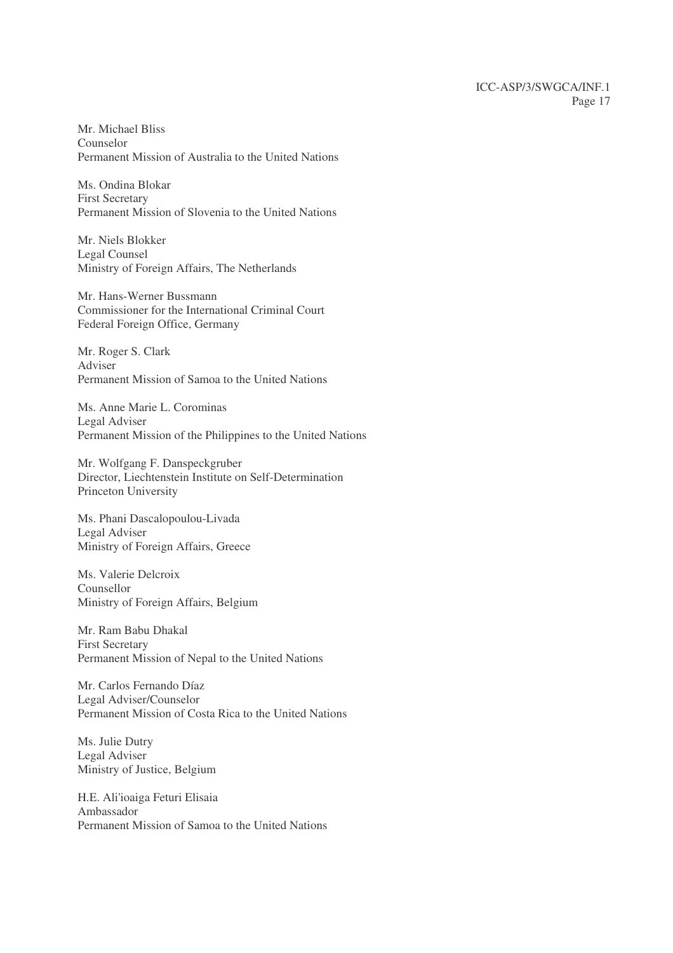Mr. Michael Bliss Counselor Permanent Mission of Australia to the United Nations

Ms. Ondina Blokar First Secretary Permanent Mission of Slovenia to the United Nations

Mr. Niels Blokker Legal Counsel Ministry of Foreign Affairs, The Netherlands

Mr. Hans-Werner Bussmann Commissioner for the International Criminal Court Federal Foreign Office, Germany

Mr. Roger S. Clark Adviser Permanent Mission of Samoa to the United Nations

Ms. Anne Marie L. Corominas Legal Adviser Permanent Mission of the Philippines to the United Nations

Mr. Wolfgang F. Danspeckgruber Director, Liechtenstein Institute on Self-Determination Princeton University

Ms. Phani Dascalopoulou-Livada Legal Adviser Ministry of Foreign Affairs, Greece

Ms. Valerie Delcroix Counsellor Ministry of Foreign Affairs, Belgium

Mr. Ram Babu Dhakal First Secretary Permanent Mission of Nepal to the United Nations

Mr. Carlos Fernando Díaz Legal Adviser/Counselor Permanent Mission of Costa Rica to the United Nations

Ms. Julie Dutry Legal Adviser Ministry of Justice, Belgium

H.E. Ali'ioaiga Feturi Elisaia Ambassador Permanent Mission of Samoa to the United Nations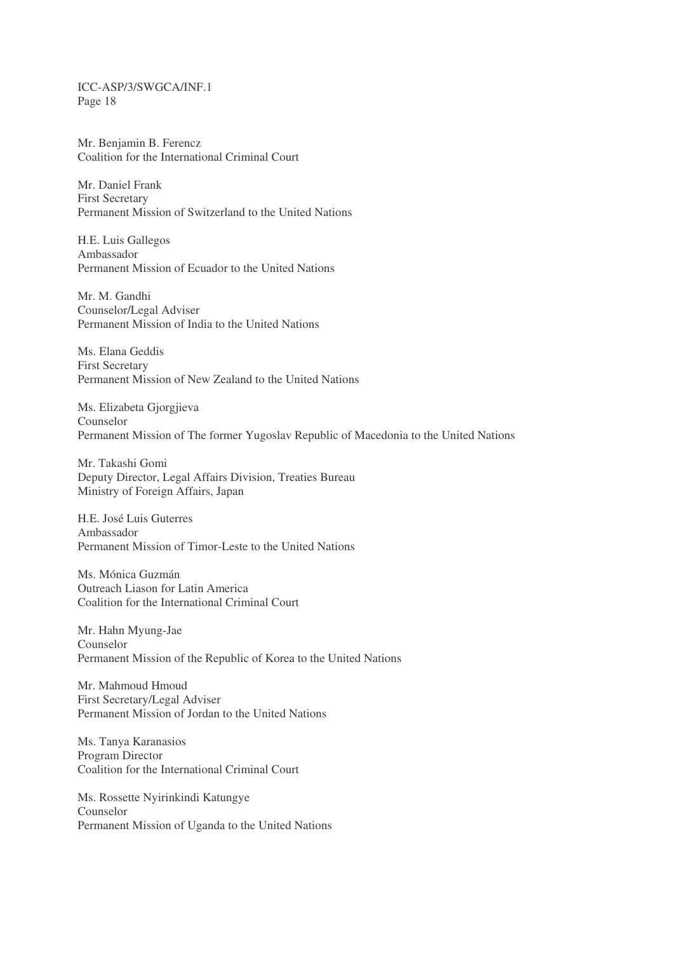Mr. Benjamin B. Ferencz Coalition for the International Criminal Court

Mr. Daniel Frank First Secretary Permanent Mission of Switzerland to the United Nations

H.E. Luis Gallegos Ambassador Permanent Mission of Ecuador to the United Nations

Mr. M. Gandhi Counselor/Legal Adviser Permanent Mission of India to the United Nations

Ms. Elana Geddis First Secretary Permanent Mission of New Zealand to the United Nations

Ms. Elizabeta Gjorgjieva Counselor Permanent Mission of The former Yugoslav Republic of Macedonia to the United Nations

Mr. Takashi Gomi Deputy Director, Legal Affairs Division, Treaties Bureau Ministry of Foreign Affairs, Japan

H.E. José Luis Guterres Ambassador Permanent Mission of Timor-Leste to the United Nations

Ms. Mónica Guzmán Outreach Liason for Latin America Coalition for the International Criminal Court

Mr. Hahn Myung-Jae Counselor Permanent Mission of the Republic of Korea to the United Nations

Mr. Mahmoud Hmoud First Secretary/Legal Adviser Permanent Mission of Jordan to the United Nations

Ms. Tanya Karanasios Program Director Coalition for the International Criminal Court

Ms. Rossette Nyirinkindi Katungye Counselor Permanent Mission of Uganda to the United Nations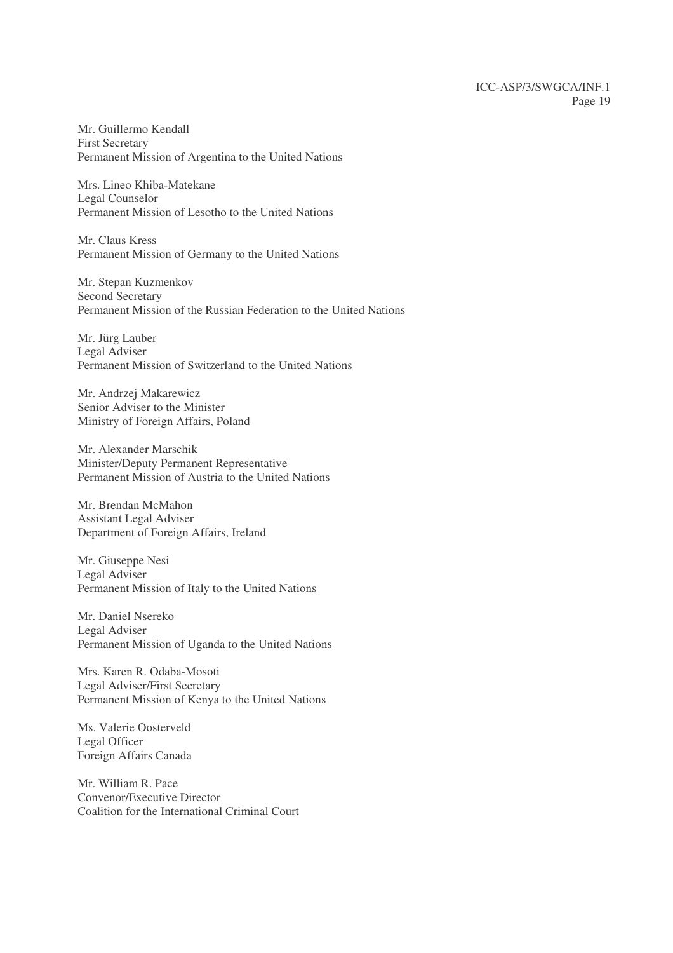Mr. Guillermo Kendall First Secretary Permanent Mission of Argentina to the United Nations

Mrs. Lineo Khiba-Matekane Legal Counselor Permanent Mission of Lesotho to the United Nations

Mr. Claus Kress Permanent Mission of Germany to the United Nations

Mr. Stepan Kuzmenkov Second Secretary Permanent Mission of the Russian Federation to the United Nations

Mr. Jürg Lauber Legal Adviser Permanent Mission of Switzerland to the United Nations

Mr. Andrzej Makarewicz Senior Adviser to the Minister Ministry of Foreign Affairs, Poland

Mr. Alexander Marschik Minister/Deputy Permanent Representative Permanent Mission of Austria to the United Nations

Mr. Brendan McMahon Assistant Legal Adviser Department of Foreign Affairs, Ireland

Mr. Giuseppe Nesi Legal Adviser Permanent Mission of Italy to the United Nations

Mr. Daniel Nsereko Legal Adviser Permanent Mission of Uganda to the United Nations

Mrs. Karen R. Odaba-Mosoti Legal Adviser/First Secretary Permanent Mission of Kenya to the United Nations

Ms. Valerie Oosterveld Legal Officer Foreign Affairs Canada

Mr. William R. Pace Convenor/Executive Director Coalition for the International Criminal Court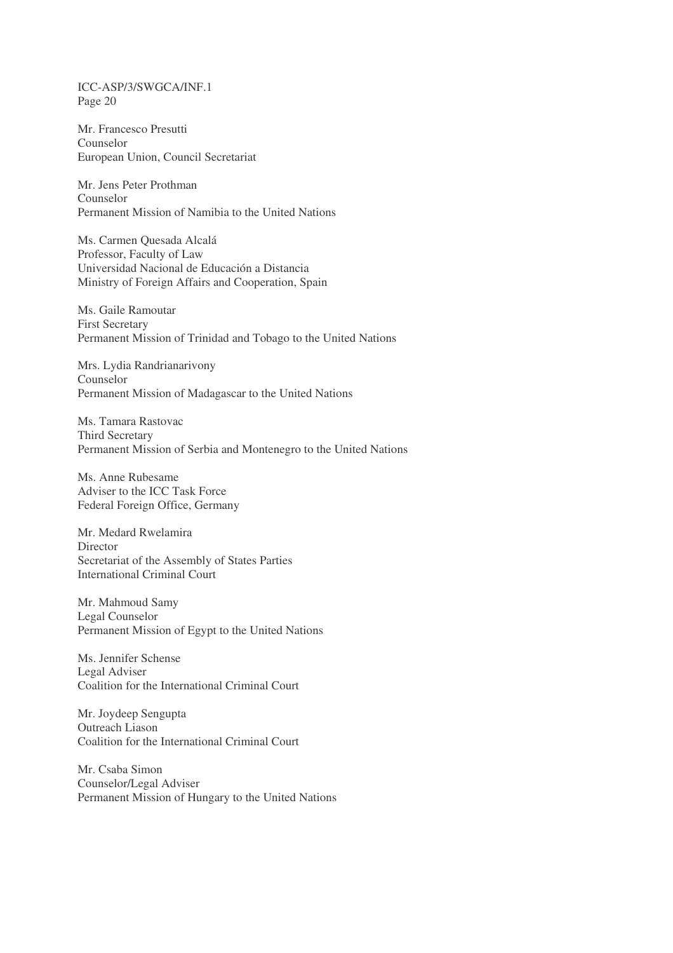Mr. Francesco Presutti Counselor European Union, Council Secretariat

Mr. Jens Peter Prothman Counselor Permanent Mission of Namibia to the United Nations

Ms. Carmen Quesada Alcalá Professor, Faculty of Law Universidad Nacional de Educación a Distancia Ministry of Foreign Affairs and Cooperation, Spain

Ms. Gaile Ramoutar First Secretary Permanent Mission of Trinidad and Tobago to the United Nations

Mrs. Lydia Randrianarivony Counselor Permanent Mission of Madagascar to the United Nations

Ms. Tamara Rastovac Third Secretary Permanent Mission of Serbia and Montenegro to the United Nations

Ms. Anne Rubesame Adviser to the ICC Task Force Federal Foreign Office, Germany

Mr. Medard Rwelamira Director Secretariat of the Assembly of States Parties International Criminal Court

Mr. Mahmoud Samy Legal Counselor Permanent Mission of Egypt to the United Nations

Ms. Jennifer Schense Legal Adviser Coalition for the International Criminal Court

Mr. Joydeep Sengupta Outreach Liason Coalition for the International Criminal Court

Mr. Csaba Simon Counselor/Legal Adviser Permanent Mission of Hungary to the United Nations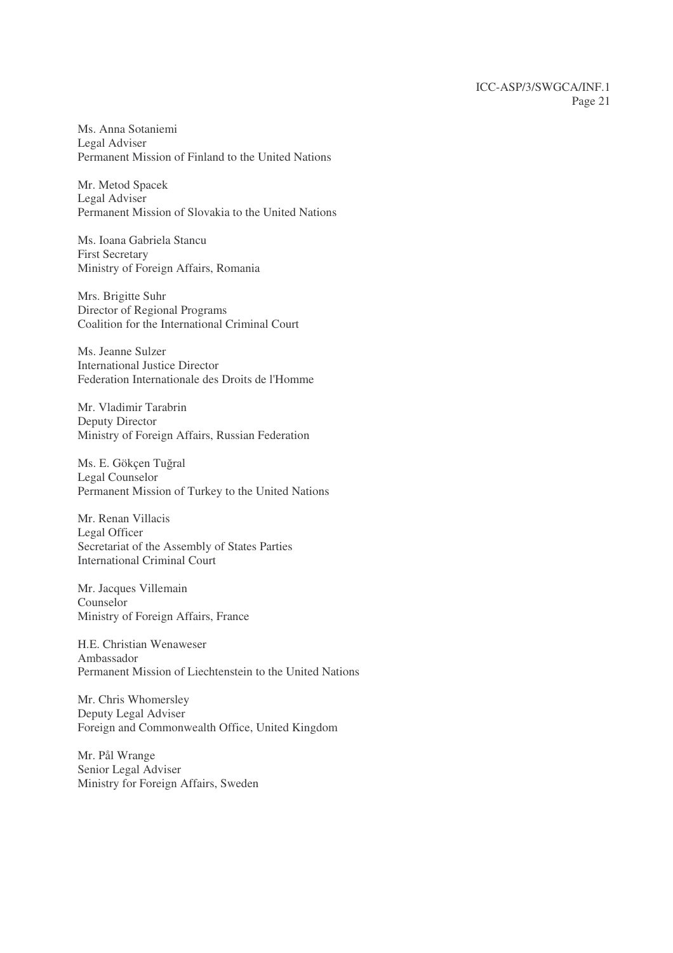Ms. Anna Sotaniemi Legal Adviser Permanent Mission of Finland to the United Nations

Mr. Metod Spacek Legal Adviser Permanent Mission of Slovakia to the United Nations

Ms. Ioana Gabriela Stancu First Secretary Ministry of Foreign Affairs, Romania

Mrs. Brigitte Suhr Director of Regional Programs Coalition for the International Criminal Court

Ms. Jeanne Sulzer International Justice Director Federation Internationale des Droits de l'Homme

Mr. Vladimir Tarabrin Deputy Director Ministry of Foreign Affairs, Russian Federation

Ms. E. Gökçen Tuğral Legal Counselor Permanent Mission of Turkey to the United Nations

Mr. Renan Villacis Legal Officer Secretariat of the Assembly of States Parties International Criminal Court

Mr. Jacques Villemain Counselor Ministry of Foreign Affairs, France

H.E. Christian Wenaweser Ambassador Permanent Mission of Liechtenstein to the United Nations

Mr. Chris Whomersley Deputy Legal Adviser Foreign and Commonwealth Office, United Kingdom

Mr. Pål Wrange Senior Legal Adviser Ministry for Foreign Affairs, Sweden